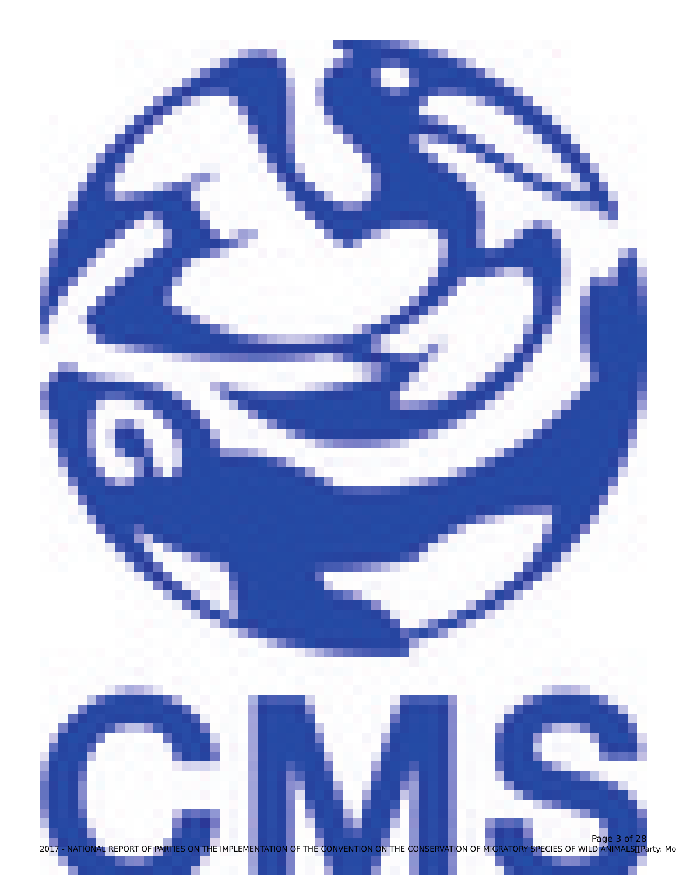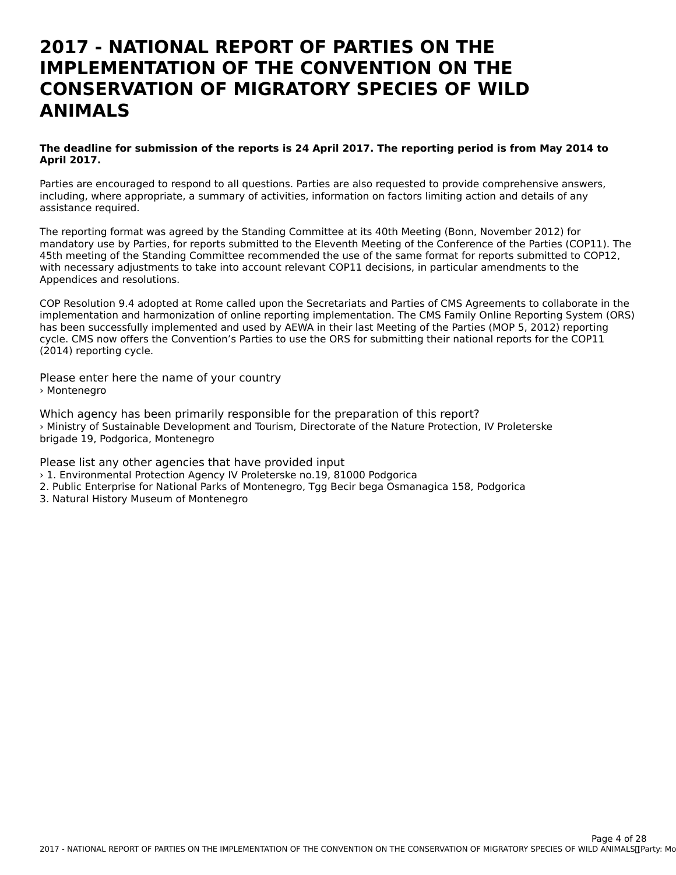### **2017 - NATIONAL REPORT OF PARTIES ON THEIMPLEMENTATION OF THE CONVENTION ON THECONSERVATION OF MIGRATORY SPECIES OF WILDANIMALS**

#### **The deadline for submission of the reports is 24 April 2017. The reporting period is from May 2014 to April 2017.**

Parties are encouraged to respond to all questions. Parties are also requested to provide comprehensive answers, including, where appropriate, a summary of activities, information on factors limiting action and details of any mcluumg, where app<br>assistance required.

The reporting format was agreed by the Standing Committee at its 40th Meeting (Bonn, November 2012) for mandatory use by Parties, for reports submitted to the Eleventh Meeting of the Conference of the Parties (COP11). The 45th meeting of the Standing Committee recommended the use of the same format for reports submitted to COP12, 45th meeting of the Standing Committee recommended the use of the same format for reports submitted to<br>With necessary adjustments to take into account relevant COP11 decisions, in particular amendments to the Appendices and resolutions.

COP Resolution 9.4 adopted at Rome called upon the Secretariats and Parties of CMS Agreements to collaborate in the implementation and harmonization of online reporting implementation. The CMS Family Online Reporting System (ORS) has been successfully implemented and used by AEWA in their last Meeting of the Parties (MOP 5, 2012) reporting cycle. CMS now offers the Convention's Parties to use the ORS for submitting their national reports for the COP11 (2014) reporting cycle.

Please enter here the name of your country › Montenegro

Which agency has been primarily responsible for the preparation of this report? › Ministry of Sustainable Development and Tourism, Directorate of the Nature Protection, IV Proleterske brigade 19, Podgorica, Montenegro

Please list any other agencies that have provided input

- › 1. Environmental Protection Agency IV Proleterske no.19, 81000 Podgorica
- 2. Public Enterprise for National Parks of Montenegro, Tgg Becir bega Osmanagica 158, Podgorica
- 3. Natural History Museum of Montenegro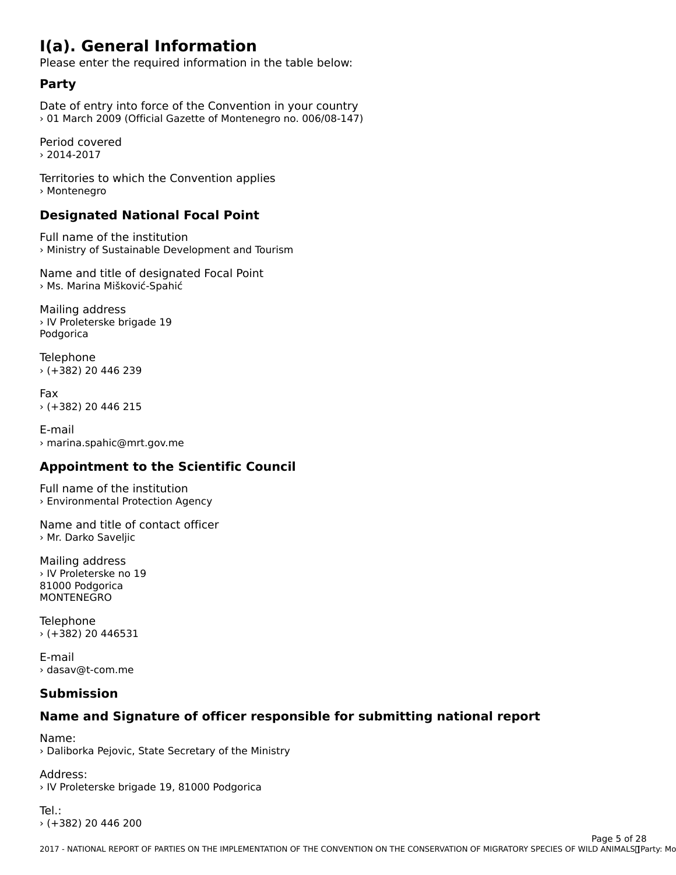## **I(a). General Information**

Please enter the required information in the table below:

### **Party**

Date of entry into force of the Convention in your country<br>01 March 2009 (Official Gazette of Martenegro no. 006/09-147) > 01 March 2009 (Official Gazette of Montenegro no. 006/08-147)

Period covered› 2014-2017

Territories to which the Convention applies › Montenegro

## **Designated National Focal Point**

Full name of the institution › Ministry of Sustainable Development and Tourism

Name and title of designated Focal Point › Ms. Marina Mišković-Spahić

Mailing address › IV Proleterske brigade 19 PodgoricaPodgorica

Telephone › (+382) 20 446 239

Fax› (+382) 20 446 215

E-mail › marina.spahic@mrt.gov.me

### **Appointment to the Scientific Council**

Full name of the institution › Environmental Protection Agency

Name and title of contact officer › Mr. Darko Saveljic

Mailing address › IV Proleterske no 19 81000 Podgorica81000 Podgorica **MONTENEGRO** 

Telephone › (+382) 20 446531

E-mail› dasav@t-com.me

#### **Submission**

## **Name and Signature of officer responsible for submitting national report**

Name:

› Daliborka Pejovic, State Secretary of the Ministry

Address:

› IV Proleterske brigade 19, 81000 Podgorica

Tel.:› (+382) 20 446 200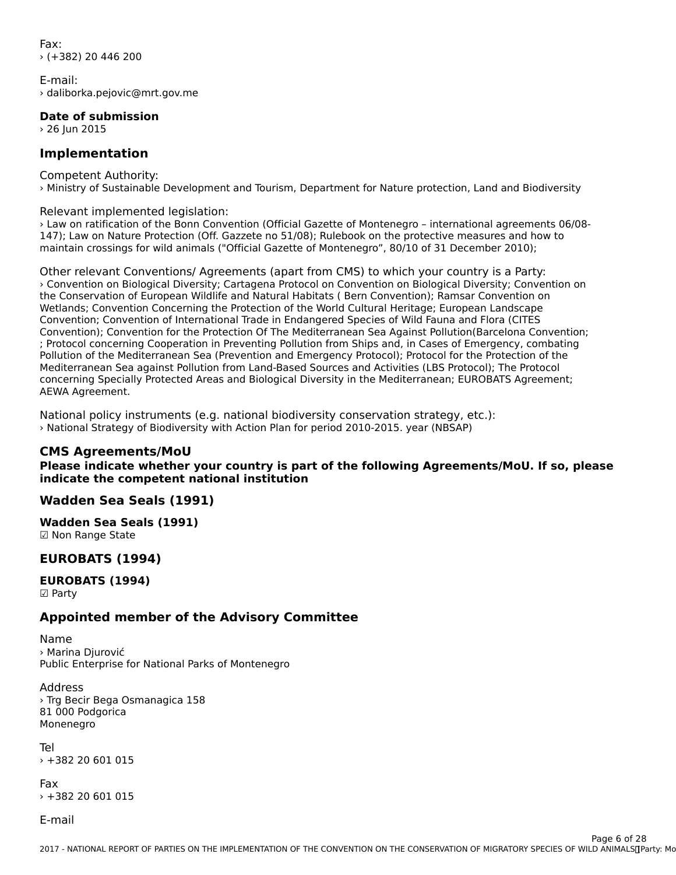Fax:› (+382) 20 446 200

E-mail:› daliborka.pejovic@mrt.gov.me

**Date of submission**

 $\frac{1}{26}$  Jun 2015

#### **Implementation**

Competent Authority: › Ministry of Sustainable Development and Tourism, Department for Nature protection, Land and Biodiversity

Relevant implemented legislation:

› Law on ratification of the Bonn Convention (Official Gazette of Montenegro – international agreements 06/08- 147); Law on Nature Protection (Off. Gazzete no 51/08); Rulebook on the protective measures and how to maintain crossings for wild animals ("Official Gazette of Montenegro", 80/10 of 31 December 2010);

Other relevant Conventions/ Agreements (apart from CMS) to which your country is a Party: › Convention on Biological Diversity; Cartagena Protocol on Convention on Biological Diversity; Convention on the Conservation of European Wildlife and Natural Habitats ( Bern Convention); Ramsar Convention on Wetlands; Convention Concerning the Protection of the World Cultural Heritage; European Landscape Wetterflore, Convention Concerning the Protection of the World Cultural Hentage, European Landscape<br>Convention; Convention of International Trade in Endangered Species of Wild Fauna and Flora (CITES Convention), Convention for the Protection Of the Predictional Sea Against Pollution baceford Convention, ; Protocol concerning Cooperation in Preventing Pollution from Ships and, in Cases of Emergency, combating Pollution of the Mediterranean Sea (Prevention and Emergency Protocol); Protocol for the Protection of the Mediterranean Sea against Pollution from Land-Based Sources and Activities (LBS Protocol); The Protocolconcerning Specially Protected Areas and Biological Diversity in the Mediterranean; EUROBATS Agreement; concerning Specia<br>AEWA Agreement.

National policy instruments (e.g. national biodiversity conservation strategy, etc.): › National Strategy of Biodiversity with Action Plan for period 2010-2015. year (NBSAP)

#### **CMS Agreements/MoU**

**Please indicate whether your country is part of the following Agreements/MoU. If so, please indicate the competent national institution**indicate the competent national institution

#### **Wadden Sea Seals (1991)**

**Wadden Sea Seals (1991)**

waaach Sca Sc<br>**☑ Non Range State** 

#### **EUROBATS (1994)**

**EUROBATS (1994)** ☑ Party

#### **Appointed member of the Advisory Committee**

Name› Marina Djurović Public Enterprise for National Parks of Montenegro

Address› Trg Becir Bega Osmanagica 158 en ug bech bega d<br>81 000 Podgorica or ooo roo<br>Monenegro

Tel› +382 20 601 015

Fax › +382 20 601 015

E-mail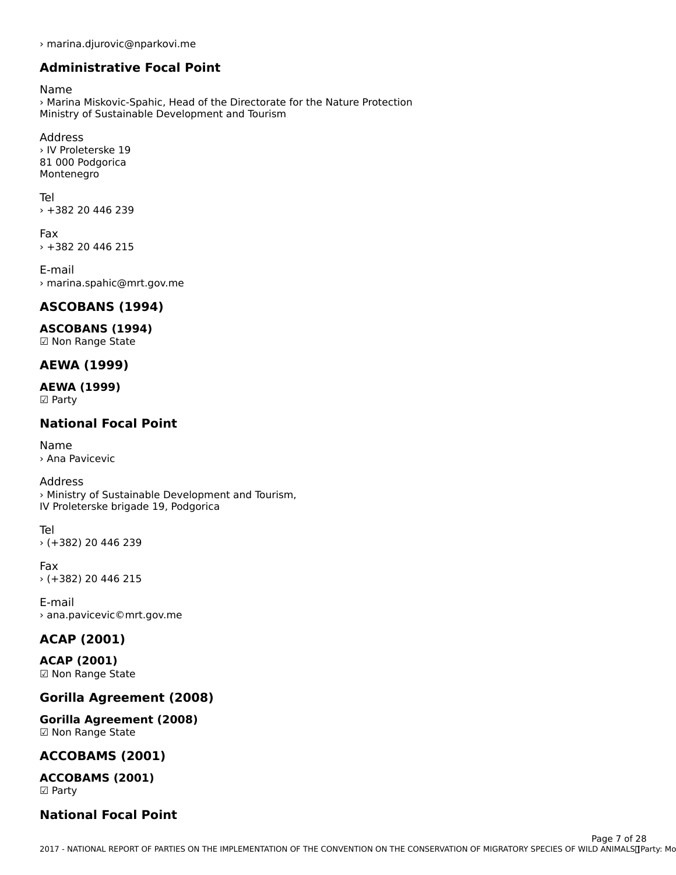› marina.djurovic@nparkovi.me

#### **Administrative Focal Point**

Name

warrie<br>> Marina Miskovic-Spahic, Head of the Directorate for the Nature Protection<br>Ministry of Sustainable Development and Tourism Ministry of Sustainable Development and Tourism

Address› IV Proleterske 19en vir Profectiske 1:<br>81 000 Podgorica Montenegro

Tel $+38220446239$ 

Fax› +382 20 446 215

E-mail › marina.spahic@mrt.gov.me

#### **ASCOBANS (1994)**

#### **ASCOBANS (1994)**

☑ Non Range State

## **AEWA (1999)**

#### **AEWA (1999)** ———————————————————<br>☑ Party

### **National Focal Point**

Name › Ana Pavicevic

#### Address

Address<br>> Ministry of Sustainable Development and Tourism, IV Proleterske brigade 19, Podgorica

Tel› (+382) 20 446 239

Fax› (+382) 20 446 215

E-mail ∟-man<br>› ana.pavicevic©mrt.gov.me

## **ACAP (2001)**

**ACAP (2001)** ☑ Non Range State

#### **Gorilla Agreement (2008)**

**Gorilla Agreement (2008) ⊍UTHA Agreement**<br>⊠ Non Range State

# **ACCOBAMS (2001)**

**ACCOBAMS (2001)**☑ Party

#### **National Focal Point**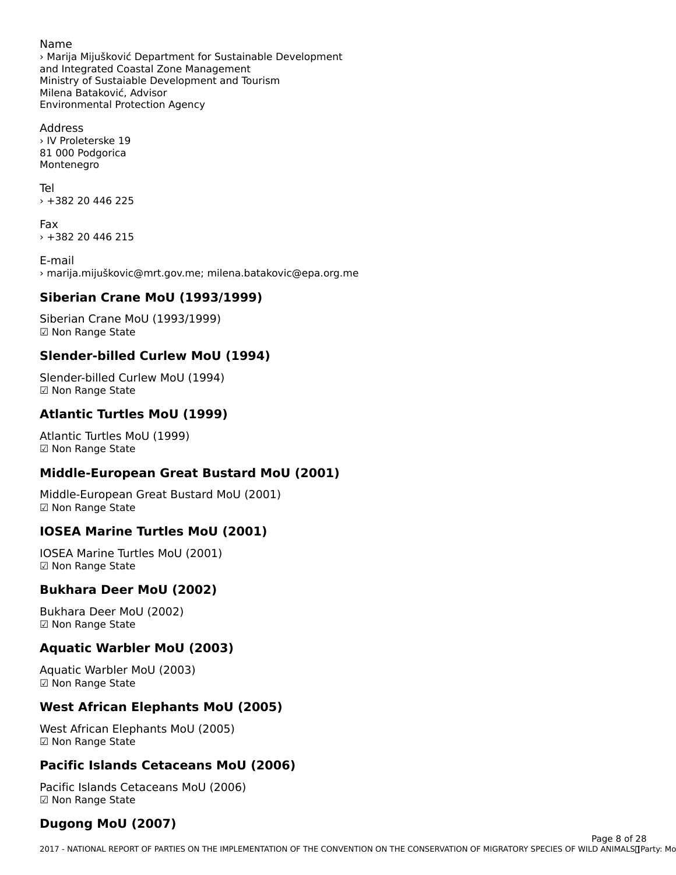#### Name

› Marija Mijušković Department for Sustainable Development and Integrated Coastal Zone Management and integrated Coastal Zone Management<br>Ministry of Sustaiable Development and Tourism ministry or sustalable Dev<br>Milena Bataković, Advisor Environmental Protection Agency

Address› IV Proleterske 19en vir Profectiske 1:<br>81 000 Podgorica Montenegro

Tel› +382 20 446 225

Fax › +382 20 446 215

E-mail› marija.mijuškovic@mrt.gov.me; milena.batakovic@epa.org.me

### **Siberian Crane MoU (1993/1999)**

Siberian Crane MoU (1993/1999)☑ Non Range State

### **Slender-billed Curlew MoU (1994)**

Slender-billed Curlew MoU (1994) ☑ Non Range State

### **Atlantic Turtles MoU (1999)**

Atlantic Turtles MoU (1999)☑ Non Range State

## **Middle-European Great Bustard MoU (2001)**

Middle-European Great Bustard MoU (2001) ι•πααιe-European<br>☑ Non Range State

### **IOSEA Marine Turtles MoU (2001)**

IOSEA Marine Turtles MoU (2001) ioseA Marine Ture<br>☑ Non Range State

### **Bukhara Deer MoU (2002)**

Bukhara Deer MoU (2002) ☑ Non Range State

### **Aquatic Warbler MoU (2003)**

Aquatic Warbler MoU (2003) ☑ Non Range State

#### **West African Elephants MoU (2005)**

West African Elephants MoU (2005)☑ Non Range State

### **Pacific Islands Cetaceans MoU (2006)**

Pacific Islands Cetaceans MoU (2006) ☑ Non Range State☑ Non Range State

# **Dugong MoU (2007)**

2017 - NATIONAL REPORT OF PARTIES ON THE IMPLEMENTATION OF THE CONVENTION ON THE CONSERVATION OF MIGRATORY SPECIES OF WILD ANIMALS CHOOL AND MALLAMATORY SPECIES OF WILD ANIMALS CHOOL AND MALLAMATORY SPECIES OF WILD ANIMALS Page 8 of 28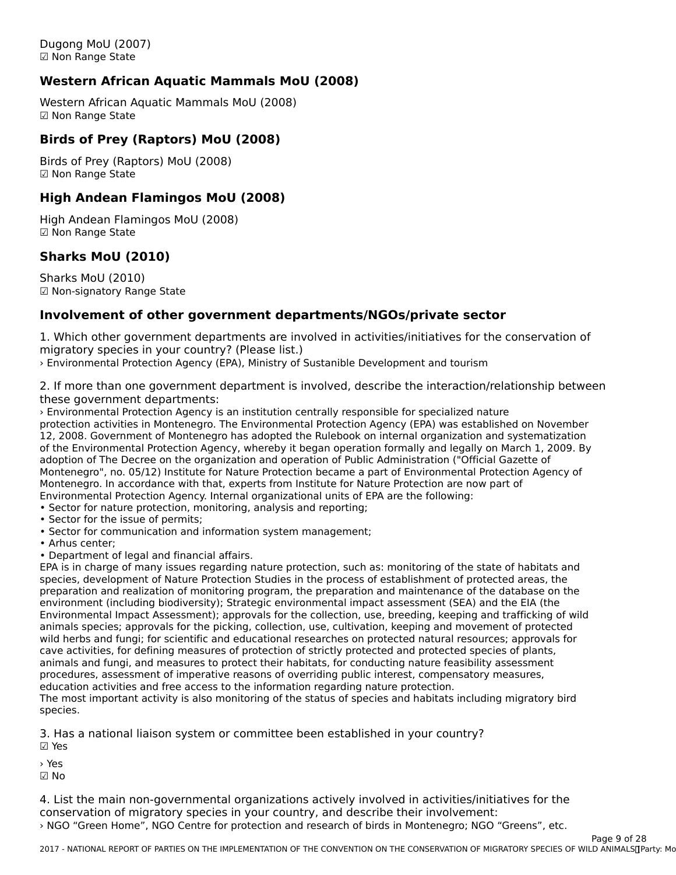Dugong MoU (2007)☑ Non Range State

### **Western African Aquatic Mammals MoU (2008)**

Western African Aquatic Mammals MoU (2008) western Amean A<br>☑ Non Range State

#### **Birds of Prey (Raptors) MoU (2008)**

Birds of Prey (Raptors) MoU (2008) ☑ Non Range State

#### **High Andean Flamingos MoU (2008)**

High Andean Flamingos MoU (2008) rngn Andean Fran<br>☑ Non Range State

### **Sharks MoU (2010)**

Sharks MoU (2010) ☑ Non-signatory Range State

#### **Involvement of other government departments/NGOs/private sector**

1. Which other government departments are involved in activities/initiatives for the conservation of migratory species in your country? (Please list.)

› Environmental Protection Agency (EPA), Ministry of Sustanible Development and tourism

2. If more than one government department is involved, describe the interaction/relationship between these government departments:

› Environmental Protection Agency is an institution centrally responsible for specialized nature protection activities in Montenegro. The Environmental Protection Agency (EPA) was established on November 12, 2008. Government of Montenegro has adopted the Rulebook on internal organization and systematization of the Environmental Protection Agency, whereby it began operation formally and legally on March 1, 2009. By of the Environmental Protection Agency, whereby it began operation formally and legally on March 1, 2009. I<br>Adoption of The Decree on the organization and operation of Public Administration ("Official Gazette of Montenegro. In accordance with the matter of the matter of the Nature Protection are not the Higher Protection are not the Nature Protection and the Nature Protection are not the Nature Protection and the Nature Protection Montenegro. In accordance with that, experts from Institute for Nature Protection are now part of Environmental Protection Agency. Internal organizational units of EPA are the following:

• Sector for nature protection, monitoring, analysis and reporting;

- Sector for the issue of permits;
- Sector for the issue of permits,<br>• Sector for communication and information system management;
- 
- Anius center,<br>• Department of legal and financial affairs.

EPA is in charge of many issues regarding nature protection, such as: monitoring of the state of habitats and species, development of Nature Protection Studies in the process of establishment of protected areas, the species, development of nature Protection Studies in the process or establishment or protected areas, the<br>preparation and realization of monitoring program, the preparation and maintenance of the database on the environment (including biodiversity); Strategic environmental impact assessment (SEA) and the EIA (the Environmental Impact Assessment); approvals for the collection, use, breeding, keeping and trafficking of wild<br>Environmental Impact Assessment); approvals for the collection, use, breeding, keeping and trafficking of wild animals species; approvals for the picking, collection, use, cultivation, keeping and movement of protected animals species, approvals for the picking, collection, use, cultivation, keeping and movement or protected<br>wild herbs and fungi; for scientific and educational researches on protected natural resources; approvals for who herbs and fungl, for scientific and educational researches on protected hatural resources, approvais<br>cave activities, for defining measures of protection of strictly protected and protected species of plants, animals and fungi, and measures to protect their habitats, for conducting nature feasibility assessment animals and fungl, and measures to protect their nabitats, for conducting nature reasibility assessmer<br>procedures, assessment of imperative reasons of overriding public interest, compensatory measures, procedures, assessment or imperative reasons or overnuing public interest, comper<br>education activities and free access to the information regarding nature protection.

education activities and nee access to the information regarding nature protection.<br>The most important activity is also monitoring of the status of species and habitats including migratory bird species.

3. Has a national liaison system or committee been established in your country?

☑ Yes

› Yes

☑ No

4. List the main non-governmental organizations actively involved in activities/initiatives for the conservation of migratory species in your country, and describe their involvement: › NGO "Green Home", NGO Centre for protection and research of birds in Montenegro; NGO "Greens", etc.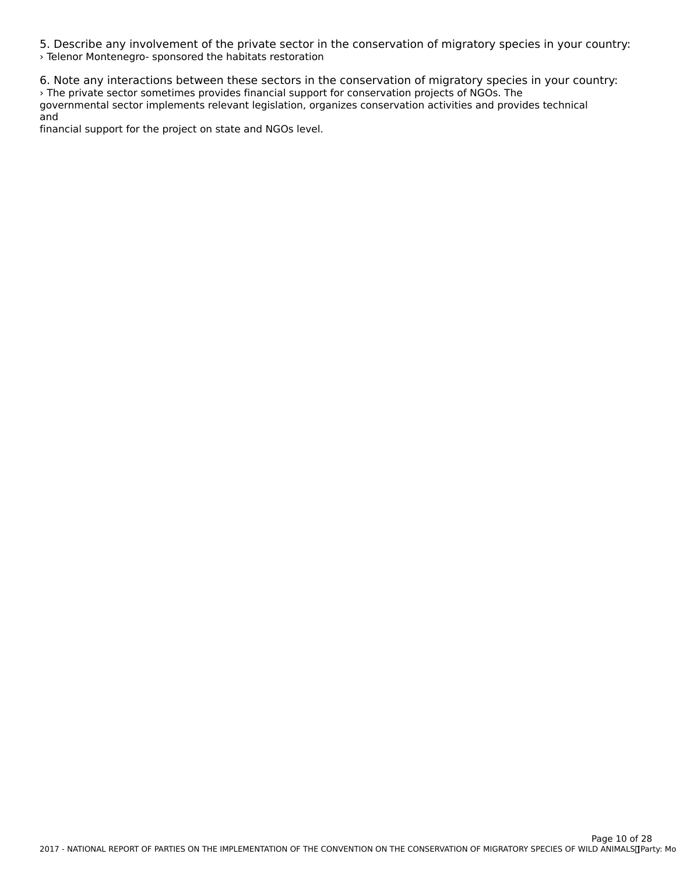5. Describe any involvement of the private sector in the conservation of migratory species in your country: › Telenor Montenegro- sponsored the habitats restoration

6. Note any interactions between these sectors in the conservation of migratory species in your country: › The private sector sometimes provides financial support for conservation projects of NGOs. TheThe private sector sometimes provides imancial support for conservation projects of NGOS. The<br>governmental sector implements relevant legislation, organizes conservation activities and provides technical and

financial support for the project on state and NGOs level.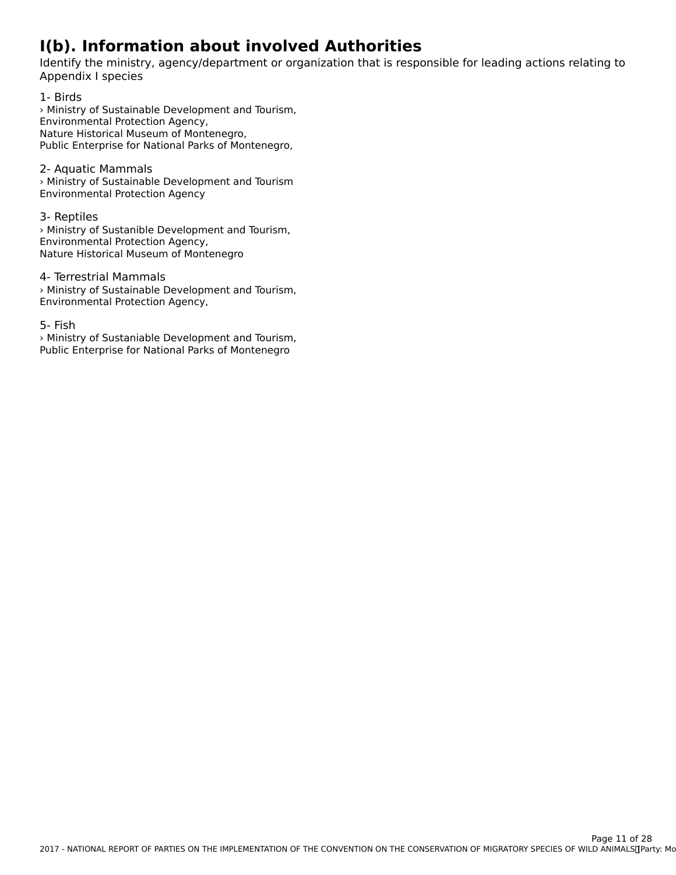# **I(b). Information about involved Authorities**

Identify the ministry, agency/department or organization that is responsible for leading actions relating to Appendix I species

1- Birds 1 Birds<br>> Ministry of Sustainable Development and Tourism, Environmental Protection Agency, Nature Historical Museum of Montenegro, Public Enterprise for National Parks of Montenegro,

#### 2- Aquatic Mammals

› Ministry of Sustainable Development and Tourism Environmental Protection Agency

#### 3- Reptiles

› Ministry of Sustanible Development and Tourism, Environmental Protection Agency, Nature Historical Museum of Montenegro

4- Terrestrial Mammals › Ministry of Sustainable Development and Tourism, Environmental Protection Agency,

#### 5- Fish

› Ministry of Sustaniable Development and Tourism, Public Enterprise for National Parks of Montenegro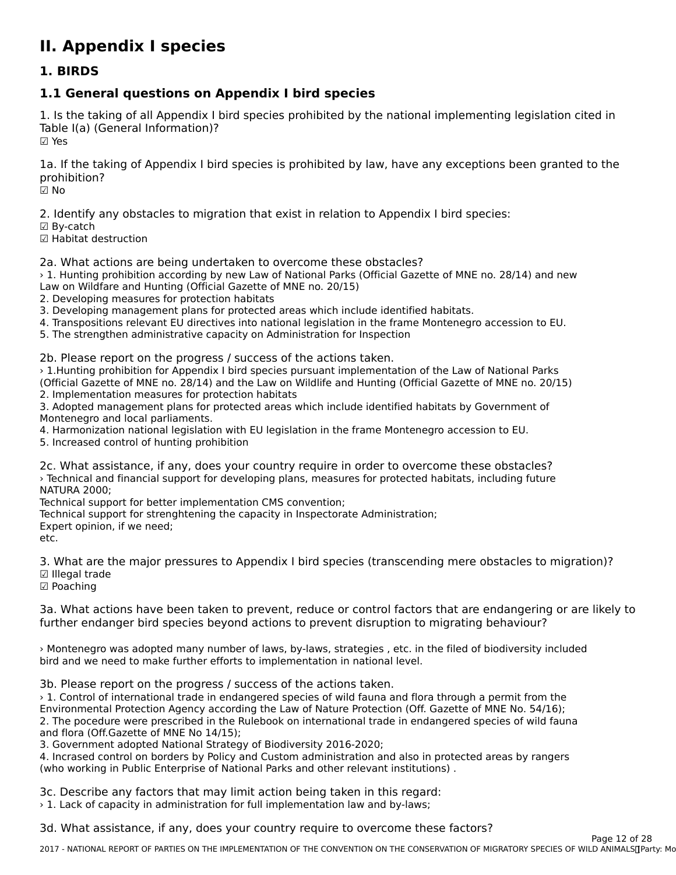# **II. Appendix I species**

#### **1. BIRDS**

## **1.1 General questions on Appendix I bird species**

1. Is the taking of all Appendix I bird species prohibited by the national implementing legislation cited in Table I(a) (General Information)? ☑ Yes

1a. If the taking of Appendix I bird species is prohibited by law, have any exceptions been granted to the prohibition?prohibition?<br>☑ No

2. Identify any obstacles to migration that exist in relation to Appendix I bird species:

☑ By-catch

☑ Habitat destruction

2a. What actions are being undertaken to overcome these obstacles?

› 1. Hunting prohibition according by new Law of National Parks (Official Gazette of MNE no. 28/14) and new Law on Wildfare and Hunting (Official Gazette of MNE no. 20/15)

2. Developing measures for protection habitats

3. Developing management plans for protected areas which include identified habitats.

4. Transpositions relevant EU directives into national legislation in the frame Montenegro accession to EU.

5. The strengthen administrative capacity on Administration for Inspection

2b. Please report on the progress / success of the actions taken.

› 1.Hunting prohibition for Appendix I bird species pursuant implementation of the Law of National Parks (Official Gazette of MNE no. 28/14) and the Law on Wildlife and Hunting (Official Gazette of MNE no. 20/15) 2. Implementation measures for protection habitats

3. Adopted management plans for protected areas which include identified habitats by Government of 3. Adopted management plans for<br>Montenegro and local parliaments.

Montenegro and local parnaments.<br>4. Harmonization national legislation with EU legislation in the frame Montenegro accession to EU.

5. Increased control of hunting prohibition

2c. What assistance, if any, does your country require in order to overcome these obstacles? › Technical and financial support for developing plans, measures for protected habitats, including future NATURA 2000;

Technical support for better implementation CMS convention;

Technical support for better implementation CM3 convention;<br>Technical support for strenghtening the capacity in Inspectorate Administration;

Expert opinion, ir we need,

etc.

3. What are the major pressures to Appendix I bird species (transcending mere obstacles to migration)? ☑ Illegal trade

⊠ meyar ua<br>☑ Poaching

3a. What actions have been taken to prevent, reduce or control factors that are endangering or are likely to further endanger bird species beyond actions to prevent disruption to migrating behaviour?

> Montenegro was adopted many number of laws, by-laws, strategies , etc. in the filed of biodiversity included bird and we need to make further efforts to implementation in national level.

3b. Please report on the progress / success of the actions taken.

› 1. Control of international trade in endangered species of wild fauna and flora through a permit from the Environmental Protection Agency according the Law of Nature Protection (Off. Gazette of MNE No. 54/16);2. The pocedure were prescribed in the Rulebook on international trade in endangered species of wild fauna 2. The pocedure were prescribed in the r<br>and flora (Off.Gazette of MNE No 14/15);

3. Government adopted National Strategy of Biodiversity 2016-2020;

3. Government adopted National Strategy of Biodiversity 2010-2020;<br>4. Incrased control on borders by Policy and Custom administration and also in protected areas by rangers (who working in Public Enterprise of National Parks and other relevant institutions).

3c. Describe any factors that may limit action being taken in this regard:

› 1. Lack of capacity in administration for full implementation law and by-laws;

3d. What assistance, if any, does your country require to overcome these factors?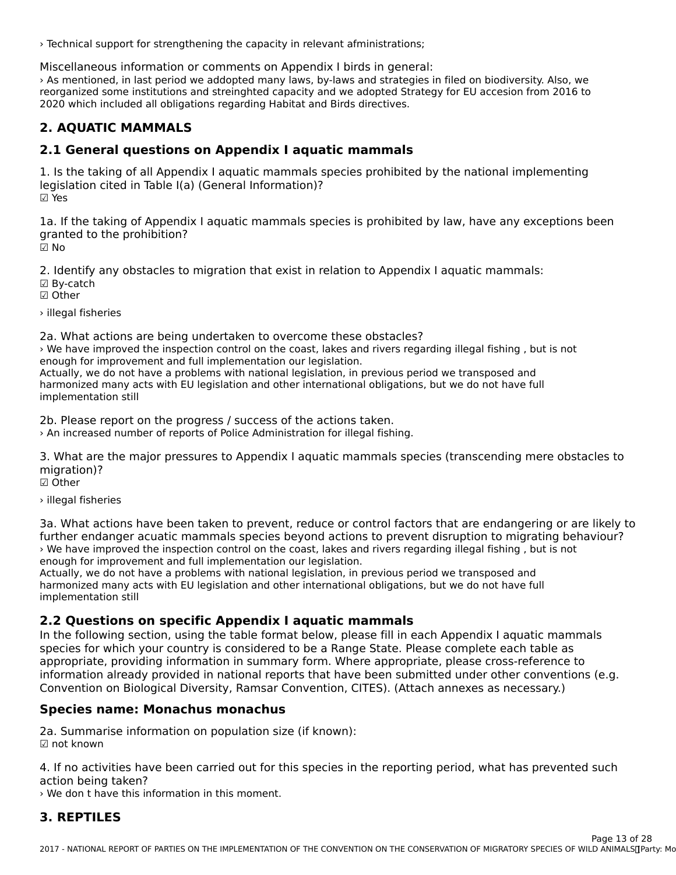› Technical support for strengthening the capacity in relevant afministrations;

Miscellaneous information or comments on Appendix I birds in general:

› As mentioned, in last period we addopted many laws, by-laws and strategies in filed on biodiversity. Also, we reorganized some institutions and streinghted capacity and we adopted Strategy for EU accesion from 2016 to 2020 which included all obligations regarding Habitat and Birds directives.

#### **2. AQUATIC MAMMALS**

#### **2.1 General questions on Appendix I aquatic mammals**

1. Is the taking of all Appendix I aquatic mammals species prohibited by the national implementing 1. Is the taking of all Appendix I aquatic mannifials 3<br>legislation cited in Table I(a) (General Information)? ☑ Yes

1a. If the taking of Appendix I aquatic mammals species is prohibited by law, have any exceptions been Ia. If the taking of Appendi<br>granted to the prohibition? ☑ No

2. Identify any obstacles to migration that exist in relation to Appendix I aquatic mammals: ☑ By-catch ☑ Other

› illegal fisheries

2a. What actions are being undertaken to overcome these obstacles?

› We have improved the inspection control on the coast, lakes and rivers regarding illegal fishing , but is not **Example improved the inspection control on the coast, lakes an**<br>enough for improvement and full implementation our legislation. Actually, we do not have a problems with national legislation, in previous period we transposed and

Actually, we do not have a problems with hational legislation, in previous penod we transposed and<br>harmonized many acts with EU legislation and other international obligations, but we do not have full IndiTionized Thany as

2b. Please report on the progress / success of the actions taken.

› An increased number of reports of Police Administration for illegal fishing.

3. What are the major pressures to Appendix I aquatic mammals species (transcending mere obstacles to migration)?

☑ Other

› illegal fisheries

3a. What actions have been taken to prevent, reduce or control factors that are endangering or are likely to further endanger acuatic mammals species beyond actions to prevent disruption to migrating behaviour?› We have improved the inspection control on the coast, lakes and rivers regarding illegal fishing , but is not*I* we have improved the inspection control on the coast, lakes an enough for improvement and full implementation our legislation.

Actually, we do not have a problems with national legislation, in previous period we transposed and Actually, we do not have a problems with hational regislation, in previous period we cransposed and<br>harmonized many acts with EU legislation and other international obligations, but we do not have full implementation still

### **2.2 Questions on specific Appendix I aquatic mammals**

2.2 Questions on specific Appendix I aquatic mammars<br>In the following section, using the table format below, please fill in each Appendix I aquatic mammals in the following section, using the table format below, please in in each Appendix I aquatic main<br>species for which your country is considered to be a Range State. Please complete each table as species for which your country is considered to be a nange state. Thease complete each table as<br>appropriate, providing information in summary form. Where appropriate, please cross-reference to information already provided in national reports that have been submitted under other conventions (e.g. Convention on Biological Diversity, Ramsar Convention, CITES). (Attach annexes as necessary.)Convention on Biological Diversity, Ramsar Convention, CITES). (Attach annexes as necessary.)

### **Species name: Monachus monachus**

2a. Summarise information on population size (if known): ☑ not known

4. If no activities have been carried out for this species in the reporting period, what has prevented such action being taken?

› We don t have this information in this moment.

#### **3. REPTILES**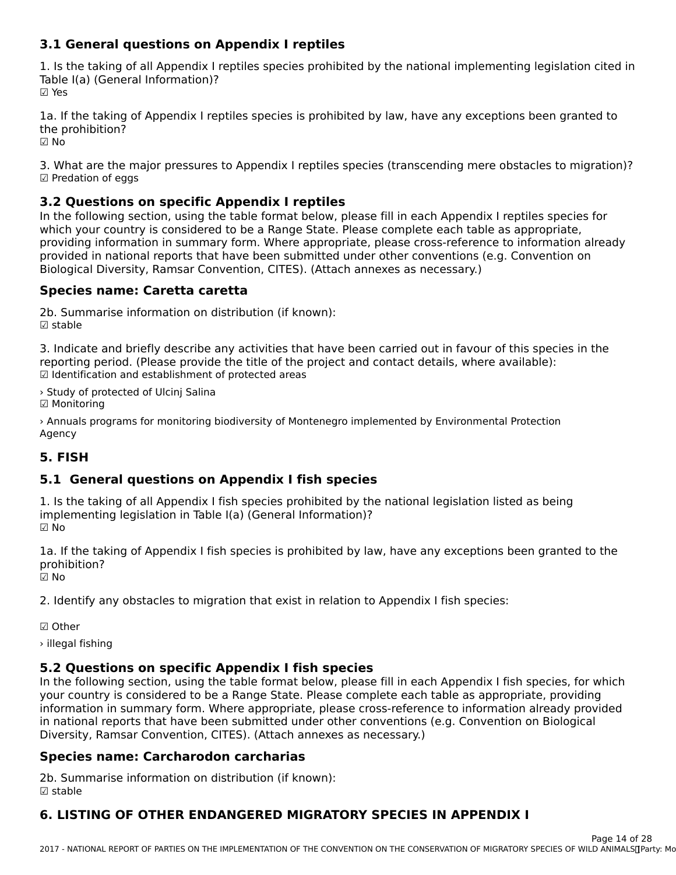#### **3.1 General questions on Appendix I reptiles**

1. Is the taking of all Appendix I reptiles species prohibited by the national implementing legislation cited in 1. Is the taking of all Appendix IT<br>Table I(a) (General Information)? ☑ Yes

1a. If the taking of Appendix I reptiles species is prohibited by law, have any exceptions been granted to ☑ No

3. What are the major pressures to Appendix I reptiles species (transcending mere obstacles to migration)? ☑ Predation of eggs

### **3.2 Questions on specific Appendix I reptiles**

In the following section, using the table format below, please fill in each Appendix I reptiles species for which your country is considered to be a Range State. Please complete each table as appropriate,which your country is considered to be a Range State. Please complete each table as appropriate, which your country is considered to be a nange state. Hease complete each table as appropriate,<br>providing information in summary form. Where appropriate, please cross-reference to information already Biological Diversity, Ramsar Convention, CITES). (Attach annexes as necessary.)Biological Diversity, Ramsar Convention, CITES). (Attach annexes as necessary.)

# **Species name: Caretta caretta**

2b. Summarise information on distribution (if known):☑ stable

3. Indicate and briefly describe any activities that have been carried out in favour of this species in the procession the reporting period. (Please provide the title of the project and contact details, where available): ☑ Identification and establishment of protected areas

› Study of protected of Ulcinj Salina ☑ Monitoring

> Annuals programs for monitoring biodiversity of Montenegro implemented by Environmental Protection Agency

#### **5. FISH**

### **5.1 General questions on Appendix I fish species**

1. Is the taking of all Appendix I fish species prohibited by the national legislation listed as being 1. Is the taking of all Appendix I half species profibited by the<br>implementing legislation in Table I(a) (General Information)? ☑ No

1a. If the taking of Appendix I fish species is prohibited by law, have any exceptions been granted to the prohibition?

☑ No

2. Identify any obstacles to migration that exist in relation to Appendix I fish species:

☑ Other

› illegal fishing

### **5.2 Questions on specific Appendix I fish species**

SIZ QUESTIONS ON SPECTIVE APPENUM ITISH SPECIES<br>In the following section, using the table format below, please fill in each Appendix I fish species, for which In the following section, using the table format below, please fill in each Appendix Frish species, for which<br>your country is considered to be a Range State. Please complete each table as appropriate, providing<br>information information in summary form. Where appropriate, please cross-reference to information already provided in national reports that have been submitted under other conventions (e.g. Convention on Biological Diversity, Ramsar Convention, CITES). (Attach annexes as necessary.)Diversity, Ramsar Convention, CITES). (Attach annexes as necessary.)

### **Species name: Carcharodon carcharias**

2b. Summarise information on distribution (if known): ☑ stable

#### **6. LISTING OF OTHER ENDANGERED MIGRATORY SPECIES IN APPENDIX I**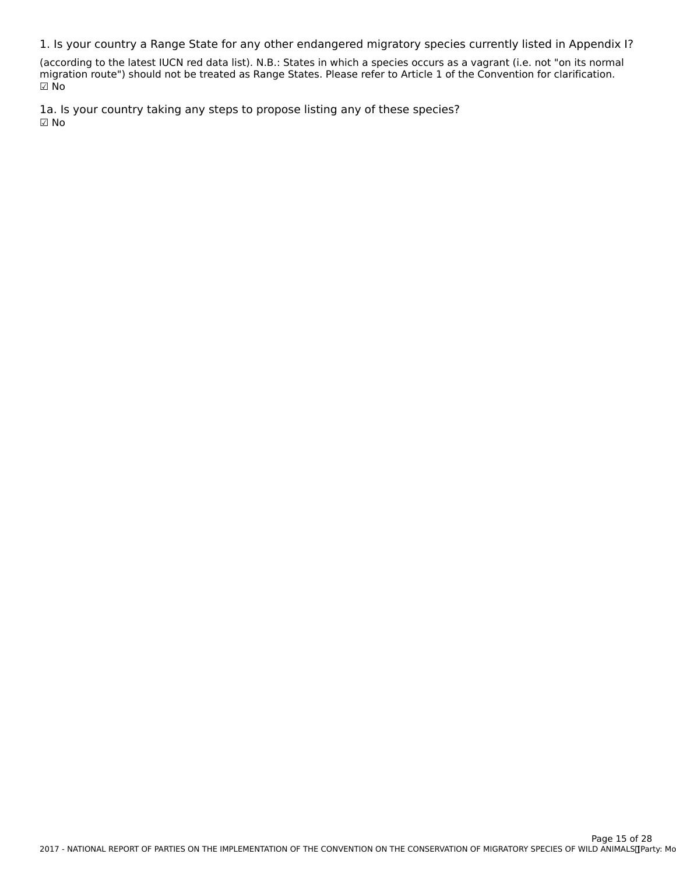1. Is your country a Range State for any other endangered migratory species currently listed in Appendix I?

(according to the latest IUCN red data list). N.B.: States in which a species occurs as a vagrant (i.e. not "on its normal migration route") should not be treated as Range States. Please refer to Article 1 of the Convention for clarification. ☑ No

1a. Is your country taking any steps to propose listing any of these species? ☑ No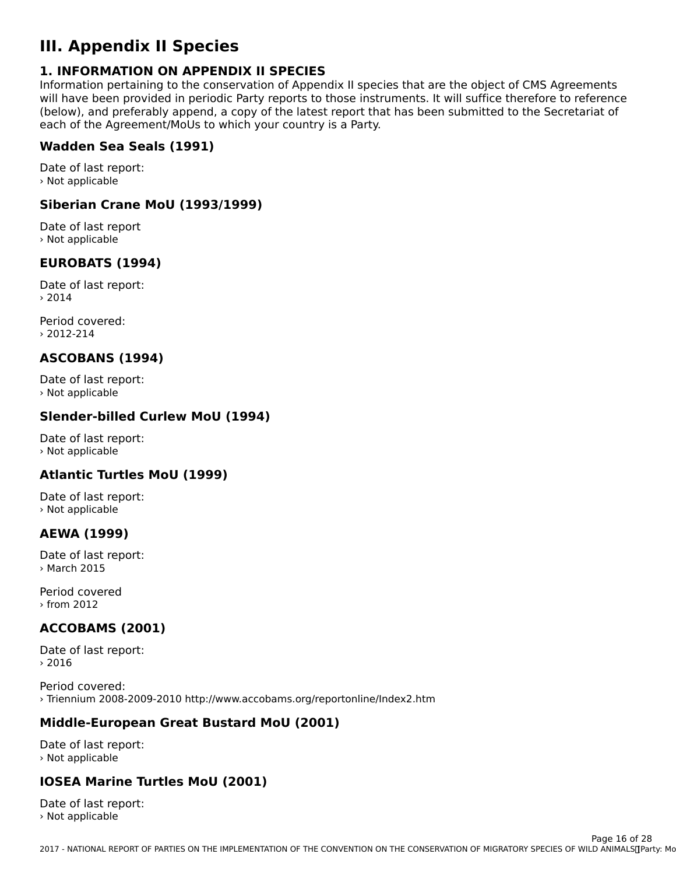# **III. Appendix II Species**

#### **1. INFORMATION ON APPENDIX II SPECIES**

**I. INTORMATION ON AFFENDIX II SFECIES**<br>Information pertaining to the conservation of Appendix II species that are the object of CMS Agreements will have been provided in periodic Party reports to those instruments. It will suffice therefore to reference will have been provided in periodic rarty reports to those instruments. It will suffice therefore to reference<br>(below), and preferably append, a copy of the latest report that has been submitted to the Secretariat of each of the Agreement/MoUs to which your country is a Party.

#### **Wadden Sea Seals (1991)**

Date of last report: › Not applicable

#### **Siberian Crane MoU (1993/1999)**

Date of last report › Not applicable

### **EUROBATS (1994)**

Date of last report:› 2014

Period covered:› 2012-214

### **ASCOBANS (1994)**

Date of last report: › Not applicable

### **Slender-billed Curlew MoU (1994)**

Date of last report: › Not applicable

### **Atlantic Turtles MoU (1999)**

Date of last report:› Not applicable

#### **AEWA (1999)**

Date of last report: › March 2015

Period covered› from 2012

## **ACCOBAMS (2001)**

Date of last report: › 2016

Period covered:› Triennium 2008-2009-2010 http://www.accobams.org/reportonline/Index2.htm

## **Middle-European Great Bustard MoU (2001)**

Date of last report: › Not applicable

#### **IOSEA Marine Turtles MoU (2001)**

Date of last report: › Not applicable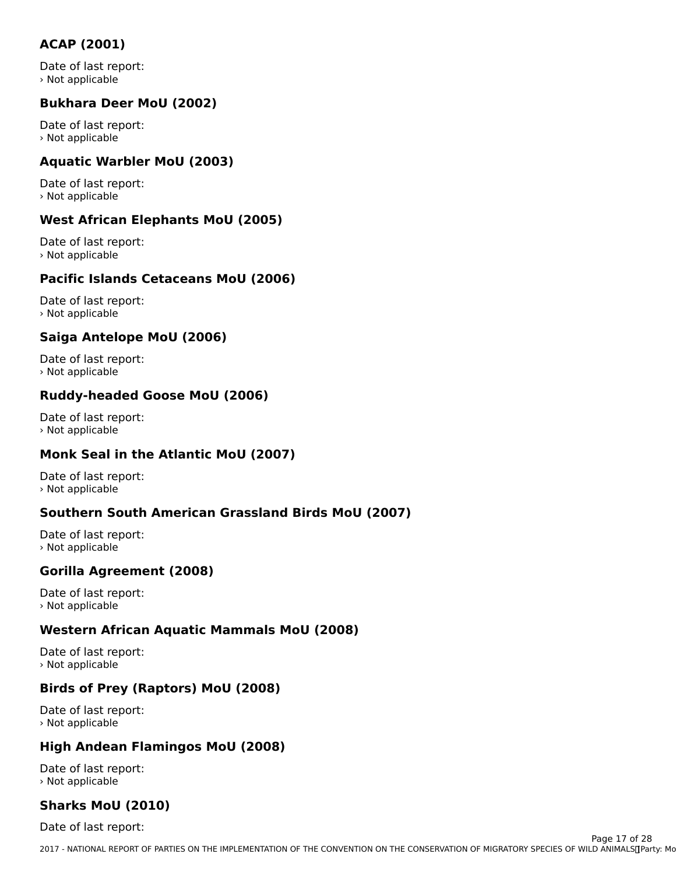### **ACAP (2001)**

Date of last report:› Not applicable

#### **Bukhara Deer MoU (2002)**

Date of last report:› Not applicable

### **Aquatic Warbler MoU (2003)**

Date of last report: › Not applicable

### **West African Elephants MoU (2005)**

Date of last report:› Not applicable

#### **Pacific Islands Cetaceans MoU (2006)**

Date of last report: › Not applicable

#### **Saiga Antelope MoU (2006)**

Date of last report:› Not applicable

### **Ruddy-headed Goose MoU (2006)**

Date of last report: › Not applicable

# **Monk Seal in the Atlantic MoU (2007)**

Date of last report:› Not applicable

#### **Southern South American Grassland Birds MoU (2007)**

Date of last report: › Not applicable

## **Gorilla Agreement (2008)**

Date of last report: › Not applicable

#### **Western African Aquatic Mammals MoU (2008)**

Date of last report: › Not applicable

### **Birds of Prey (Raptors) MoU (2008)**

Date of last report: › Not applicable

#### **High Andean Flamingos MoU (2008)**

Date of last report:› Not applicable

#### **Sharks MoU (2010)**

Date of last report: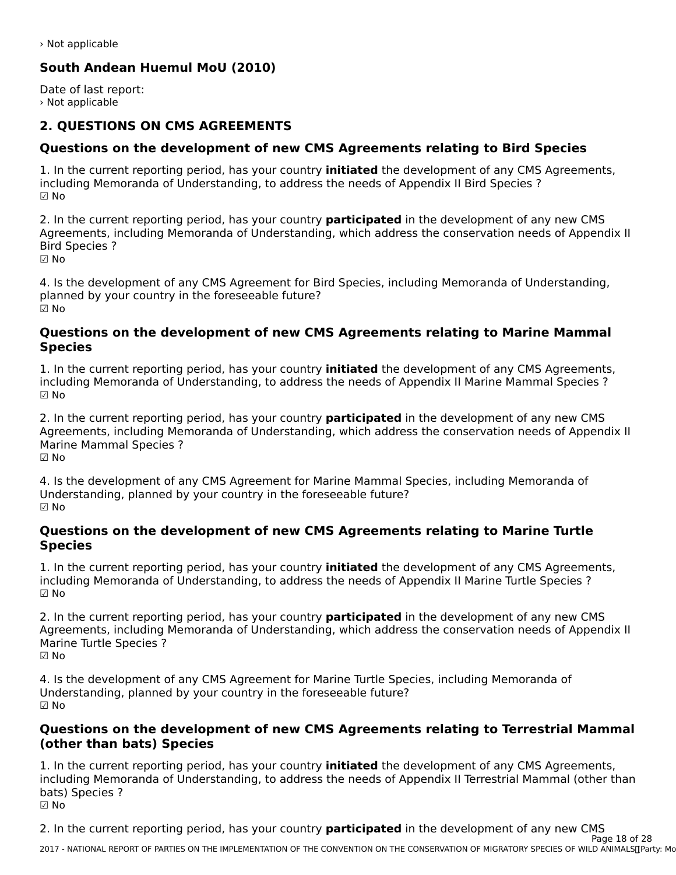› Not applicable

## **South Andean Huemul MoU (2010)**

Date of last report: › Not applicable

#### **2. QUESTIONS ON CMS AGREEMENTS**

#### **Questions on the development of new CMS Agreements relating to Bird Species**

1. In the current reporting period, has your country **initiated** the development of any CMS Agreements, including Memoranda of Understanding, to address the needs of Appendix II Bird Species ? ☑ No

2. In the current reporting period, has your country **participated** in the development of any new CMS z. In the current reporting period, has your country **participated** in the development or any new civis<br>Agreements, including Memoranda of Understanding, which address the conservation needs of Appendix II Bird Species ?

☑ No

4. Is the development of any CMS Agreement for Bird Species, including Memoranda of Understanding, planned by your country in the foreseeable future? ☑ No

#### **Questions on the development of new CMS Agreements relating to Marine Mammal SpeciesSpecies**

1. In the current reporting period, has your country **initiated** the development of any CMS Agreements, including Memoranda of Understanding, to address the needs of Appendix II Marine Mammal Species ? ☑ No

2. In the current reporting period, has your country **participated** in the development of any new CMS<br>Agreements, including Memoranda of Understanding, which address the conservation needs of Appendix II Algebra Mammal Special Special Control of United Stations (Will Good State Conservation Recus of Appendix In A<br>Marine Mammal Special Special Special Special Special Special Special Special Special Special Special Special Marine Mammal Species ? יימויי<br>i⊠ No

4. Is the development of any CMS Agreement for Marine Mammal Species, including Memoranda of 4. Is the development of any CMS Agreement for Manne Manmiar 3<br>Understanding, planned by your country in the foreseeable future? ☑ No

#### **Questions on the development of new CMS Agreements relating to Marine Turtle SpeciesSpecies**

1. In the current reporting period, has your country **initiated** the development of any CMS Agreements, I. In the current reporting period, has your country **initiated** the development or any civis Agreeme<br>including Memoranda of Understanding, to address the needs of Appendix II Marine Turtle Species ? ☑ No

2. In the current reporting period, has your country **participated** in the development of any new CMS<br>Agreements, including Memoranda of Understanding, which address the conservation needs of Appendix II Agreements, including Memoranda of Understanding, which address the conservation needs of Appendix II Agreements, including<br>Marine Turtle Species ? ☑ No

4. Is the development of any CMS Agreement for Marine Turtle Species, including Memoranda of 4. Is the development of any CMS Agreement for Manne furtie Specified.<br>Understanding, planned by your country in the foreseeable future? ☑ No

#### **Questions on the development of new CMS Agreements relating to Terrestrial Mammal (other than bats) Species**(other than bats) Species

1. In the current reporting period, has your country **initiated** the development of any CMS Agreements,<br>including Memoranda of Understanding, to address the needs of Appendix U.Terrestrial Mammal (other than including Memoranda of Understanding, to address the needs of Appendix II Terrestrial Mammal (other than nicidumg menic<br>bats) Species ? ☑ No

2. In the current reporting period, has your country **participated** in the development of any new CMS Page 18 of 28

2017 - NATIONAL REPORT OF PARTIES ON THE IMPLEMENTATION OF THE CONVENTION ON THE CONSERVATION OF MIGRATORY SPECIES OF WILD ANIMALS CHOOL AND MALLAND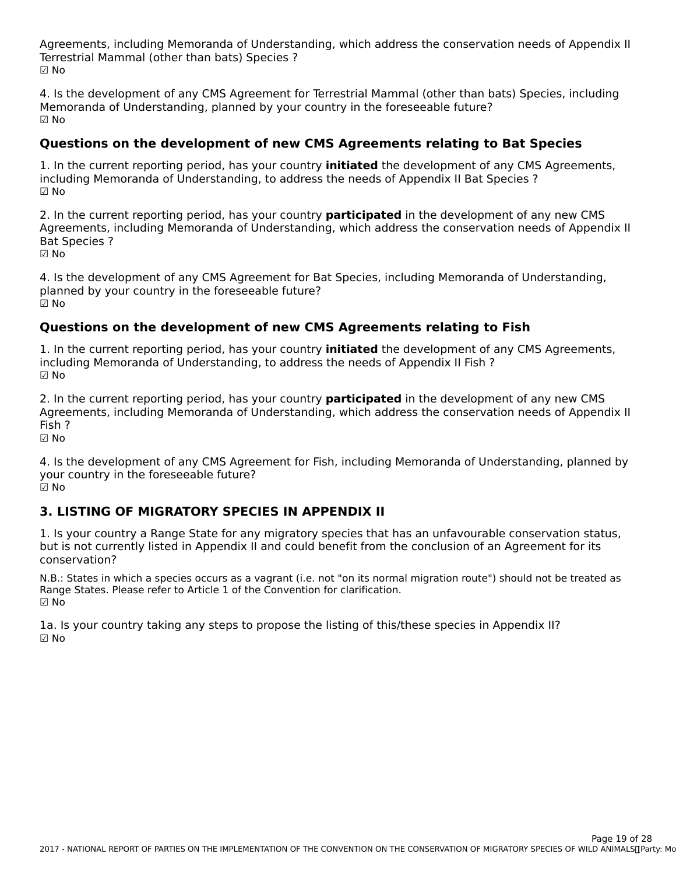Agreements, including Memoranda of Understanding, which address the conservation needs of Appendix II Agreements, including Memoranda or Understa<br>Terrestrial Mammal (other than bats) Species ? ☑ No

4. Is the development of any CMS Agreement for Terrestrial Mammal (other than bats) Species, including<br>Memoranda of the contractive subgraph by your country in the foreseeable future? Memoranda of Understanding, planned by your country in the foreseeable future? ☑ No

## **Questions on the development of new CMS Agreements relating to Bat Species**

1. In the current reporting period, has your country **initiated** the development of any CMS Agreements, I. In the current reporting period, has your country **initiated** the development of any CMS<br>including Memoranda of Understanding, to address the needs of Appendix II Bat Species ? ☑ No

2. In the current reporting period, has your country **participated** in the development of any new CMS Agreements, including Memoranda of Understanding, which address the conservation needs of Appendix II Agreements,<br>Bat Species ?

☑ No

4. Is the development of any CMS Agreement for Bat Species, including Memoranda of Understanding, planned by your country in the foreseeable future? ☑ No

## **Questions on the development of new CMS Agreements relating to Fish**

1. In the current reporting period, has your country **initiated** the development of any CMS Agreements, I. In the current reporting period, has your country **initiated** the development or a<br>including Memoranda of Understanding, to address the needs of Appendix II Fish ? ☑ No

2. In the current reporting period, has your country **participated** in the development of any new CMS Agreements, including Memoranda of Understanding, which address the conservation needs of Appendix II Fish ?

☑ No

4. Is the development of any CMS Agreement for Fish, including Memoranda of Understanding, planned by your country in the foreseeable future? y∪uı<br>☑ No

#### **3. LISTING OF MIGRATORY SPECIES IN APPENDIX II**

1. Is your country a Range State for any migratory species that has an unfavourable conservation status, 1. Is your country a Kange State for any migratory species that has an unravourable conservation star<br>but is not currently listed in Appendix II and could benefit from the conclusion of an Agreement for its conservation?

N.B.: States in which a species occurs as a vagrant (i.e. not "on its normal migration route") should not be treated as N.D.. States in Which a species occurs as a vagrant (i.e. not for its norma<br>Range States. Please refer to Article 1 of the Convention for clarification. nang<br>☑ No

1a. Is your country taking any steps to propose the listing of this/these species in Appendix II?  $\boxtimes$  No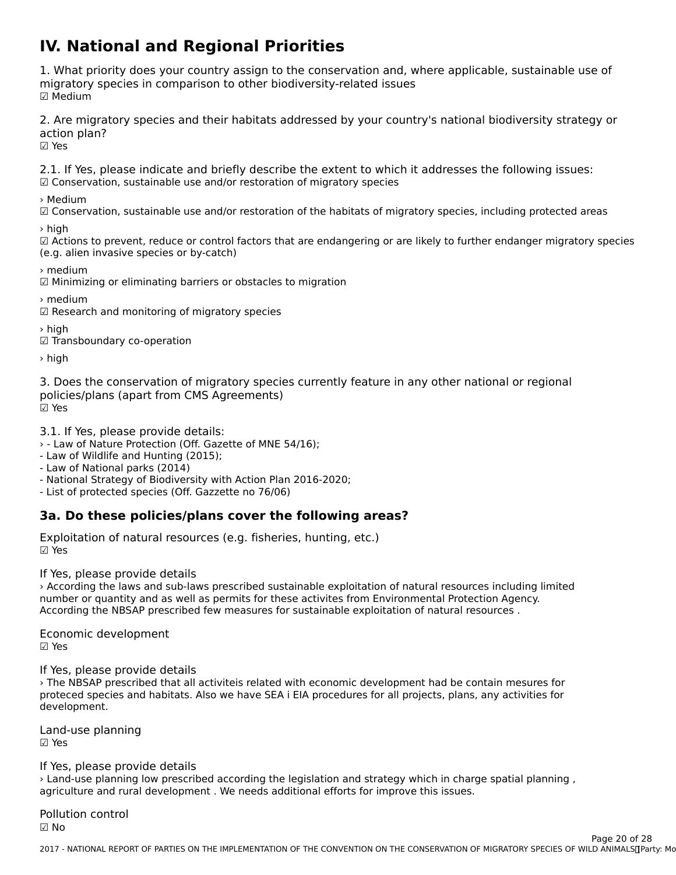# **IV. National and Regional Priorities**

1. What priority does your country assign to the conservation and, where applicable, sustainable use of migratory species in comparison to other biodiversity-related issues mığı acor y<br>☑ Medium

2. Are migratory species and their habitats addressed by your country's national biodiversity strategy or action plan?<br>☑ Yes

2.1. If Yes, please indicate and briefly describe the extent to which it addresses the following issues: ☑ Conservation, sustainable use and/or restoration of migratory species

› Medium

☑ Conservation, sustainable use and/or restoration of the habitats of migratory species, including protected areas

› high

∠ilign<br>⊠ Actions to prevent, reduce or control factors that are endangering or are likely to further endanger migratory species (e.g. alien invasive species or by-catch)

› medium

☑ Minimizing or eliminating barriers or obstacles to migration

› medium

☑ Research and monitoring of migratory species

› high

☑ Transboundary co-operation

› high

3. Does the conservation of migratory species currently feature in any other national or regional policies/plans (apart from cm5 Agreements) ⊠ Yes

3.1. If Yes, please provide details:

› - Law of Nature Protection (Off. Gazette of MNE 54/16);

**- Law of Nature Frotection (On: Gaz**)<br>- Law of Wildlife and Hunting (2015);

- Law of Whalle and Hunting (1<br>- Law of National parks (2014)

- Law of National parks (2014)<br>- National Strategy of Biodiversity with Action Plan 2016-2020;

- List of protected species (Off. Gazzette no 76/06)

## **3a. Do these policies/plans cover the following areas?**

Exploitation of natural resources (e.g. fisheries, hunting, etc.) ☑ Yes

If Yes, please provide details

› According the laws and sub-laws prescribed sustainable exploitation of natural resources including limited number or quantity and as well as permits for these activites from Environmental Protection Agency. number or quantity and as wen as permits for these activites from Environmental Protection Age.<br>According the NBSAP prescribed few measures for sustainable exploitation of natural resources .

Economic development ☑ Yes

If Yes, please provide details

› The NBSAP prescribed that all activiteis related with economic development had be contain mesures forproteced species and habitats. Also we have SEA i EIA procedures for all projects, plans, any activities for proteced spec<br>development.

Land-use planning ☑ Yes

#### If Yes, please provide details

› Land-use planning low prescribed according the legislation and strategy which in charge spatial planning , agriculture and rural development . We needs additional efforts for improve this issues.

Pollution control יטווט<br>D No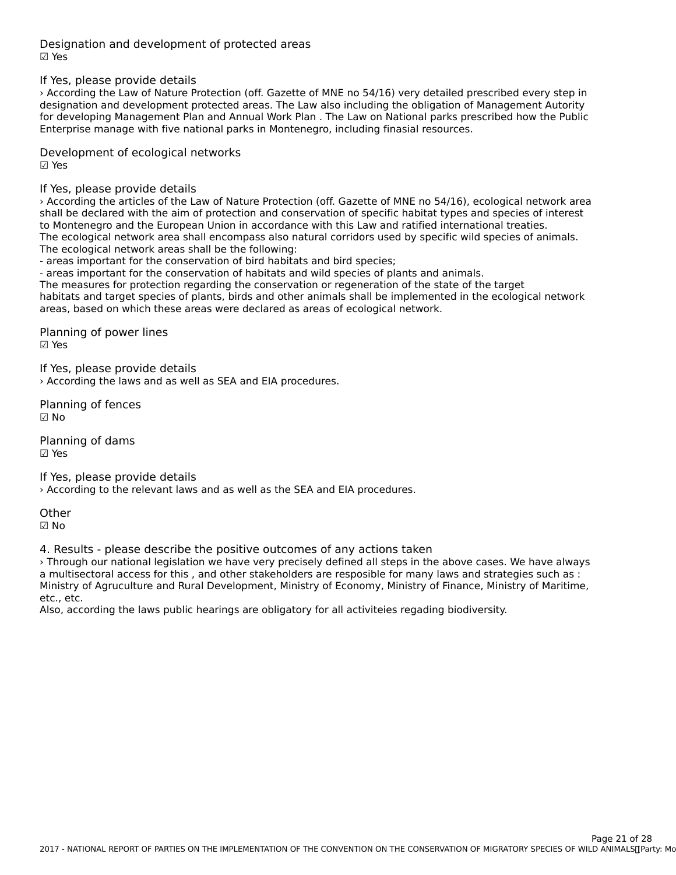Designation and development of protected areas ☑ Yes

If Yes, please provide details

› According the Law of Nature Protection (off. Gazette of MNE no 54/16) very detailed prescribed every step in designation and development protected areas. The Law also including the obligation of Management Autority designation and development protected areas. The Law also incidding the obligation or management Adtonty<br>for developing Management Plan and Annual Work Plan . The Law on National parks prescribed how the Public For developing management man and Annual Work man. The Law on National parks pre<br>Enterprise manage with five national parks in Montenegro, including finasial resources.

Development of ecological networks ☑ Yes

If Yes, please provide details

› According the articles of the Law of Nature Protection (off. Gazette of MNE no 54/16), ecological network area shall be declared with the aim of protection and conservation of specific habitat types and species of interest shall be declared with the all i bi protection and conservation or specific habitat types and species or i<br>to Montenegro and the European Union in accordance with this Law and ratified international treaties. to montenegro and the European onion in accordance with this Eaw and rathled international treaties.<br>The ecological network area shall encompass also natural corridors used by specific wild species of animals. The ecological network areas shall be the following:

The ecological network areas shall be the following.<br>- areas important for the conservation of bird habitats and bird species;

- areas important for the conservation of habitats and wild species of plants and animals.

- areas important for the conservation of nabitats and who species or plants and animals.<br>The measures for protection regarding the conservation or regeneration of the state of the target The measures for protection regarding the conservation or regeneration or the state or the target<br>habitats and target species of plants, birds and other animals shall be implemented in the ecological network areas, based on which these areas were declared as areas of ecological network.

Planning of power lines

☑ Yes

If Yes, please provide details › According the laws and as well as SEA and EIA procedures.

Planning of fences ☑ No

Planning of dams☑ Yes

If Yes, please provide details › According to the relevant laws and as well as the SEA and EIA procedures.

**Other** ☑ No

4. Results - please describe the positive outcomes of any actions taken

› Through our national legislation we have very precisely defined all steps in the above cases. We have always a multisectoral access for this , and other stakeholders are resposible for many laws and strategies such as : a manisectoral access for this , and other stakeholders are resposible for many laws and strategies such as .<br>Ministry of Agruculture and Rural Development, Ministry of Economy, Ministry of Finance, Ministry of Maritime, etc., etc.<br>Also, according the laws public hearings are obligatory for all activiteies regading biodiversity.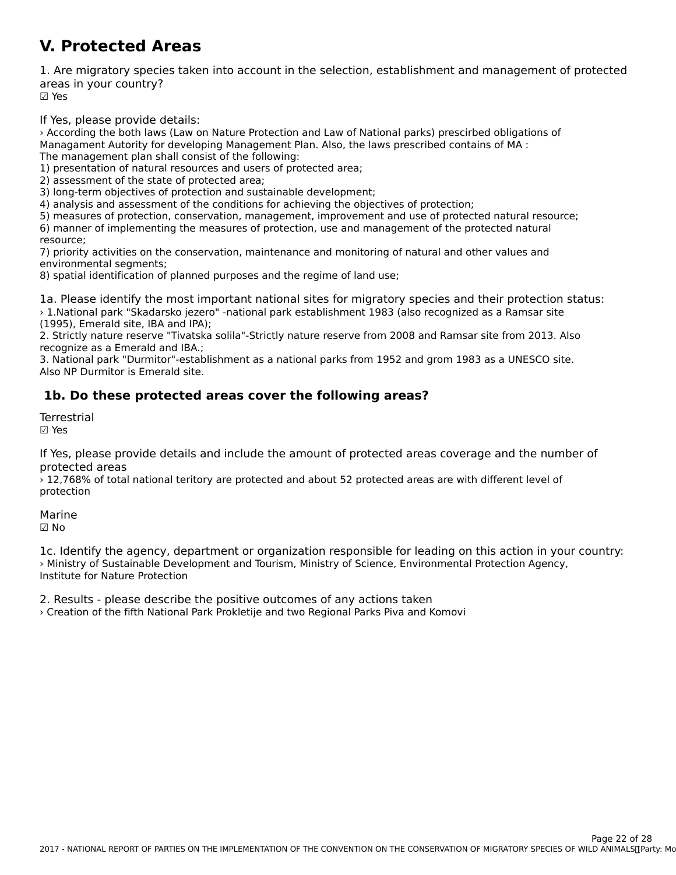#### **V. Protected Areas**

1. Are migratory species taken into account in the selection, establishment and management of protected areas in your country? ur∈u∍<br>☑ Yes

If Yes, please provide details:

› According the both laws (Law on Nature Protection and Law of National parks) prescirbed obligations of Managament Autority for developing Management Plan. Also, the laws prescribed contains of MA : managament Autonty for developing management F<br>The management plan shall consist of the following:

The management plan shall consist of the following.<br>1) presentation of natural resources and users of protected area;

1) presentation of natural resources and user.<br>2) assessment of the state of protected area;

z) assessment of the state of protected area,<br>3) long-term objectives of protection and sustainable development;

4) analysis and assessment of the conditions for achieving the objectives of protection;

4) analysis and assessment of the conditions for achieving the objectives of protection,<br>5) measures of protection, conservation, management, improvement and use of protected natural resource; B) measures or protection, conservation, management, improvement and use or protected natural reso<br>6) manner of implementing the measures of protection, use and management of the protected natural

resource,<br>7) priority activities on the conservation, maintenance and monitoring of natural and other values and zi priority activities on the<br>environmental segments;

environmental segments,<br>8) spatial identification of planned purposes and the regime of land use;

1a. Please identify the most important national sites for migratory species and their protection status:<br>1. National park "Skadarka jezero" -national park establishment 1993 (also recognized as a Ramsar site (1995), Emerald site, IBA and IPA);

2. Strictly nature reserve "Tivatska solila"-Strictly nature reserve from 2008 and Ramsar site from 2013. Also 2. Strictly nature reserve Trivatsk<br>recognize as a Emerald and IBA.;

3. National park "Durmitor"-establishment as a national parks from 1952 and grom 1983 as a UNESCO site. **S. National park Durmitor - Estab**<br>Also NP Durmitor is Emerald site.

### **1b. Do these protected areas cover the following areas?**

**Terrestrial** ☑ Yes

If Yes, please provide details and include the amount of protected areas coverage and the number of protected areas

protected areas<br>> 12,768% of total national teritory are protected and about 52 protected areas are with different level of protection

Marine☑ No

1c. Identify the agency, department or organization responsible for leading on this action in your country: I. Merithy the agency, department of organization responsible for leading on this action in you<br>> Ministry of Sustainable Development and Tourism, Ministry of Science, Environmental Protection Agency,

2. Results - please describe the positive outcomes of any actions taken › Creation of the fifth National Park Prokletije and two Regional Parks Piva and Komovi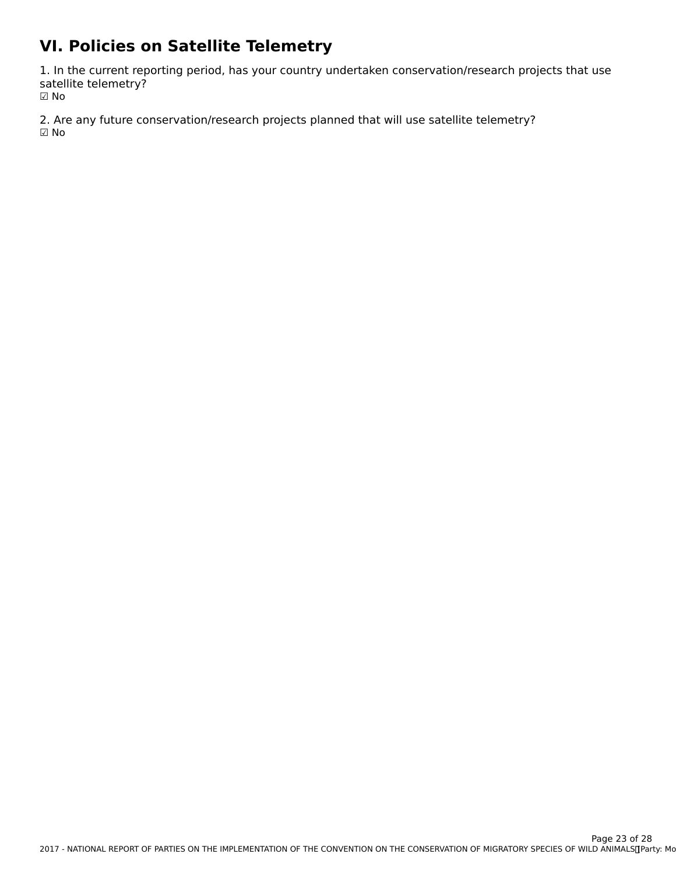# **VI. Policies on Satellite Telemetry**

1. In the current reporting period, has your country undertaken conservation/research projects that use satellite telemetry? ☑ No

2. Are any future conservation/research projects planned that will use satellite telemetry? ☑ No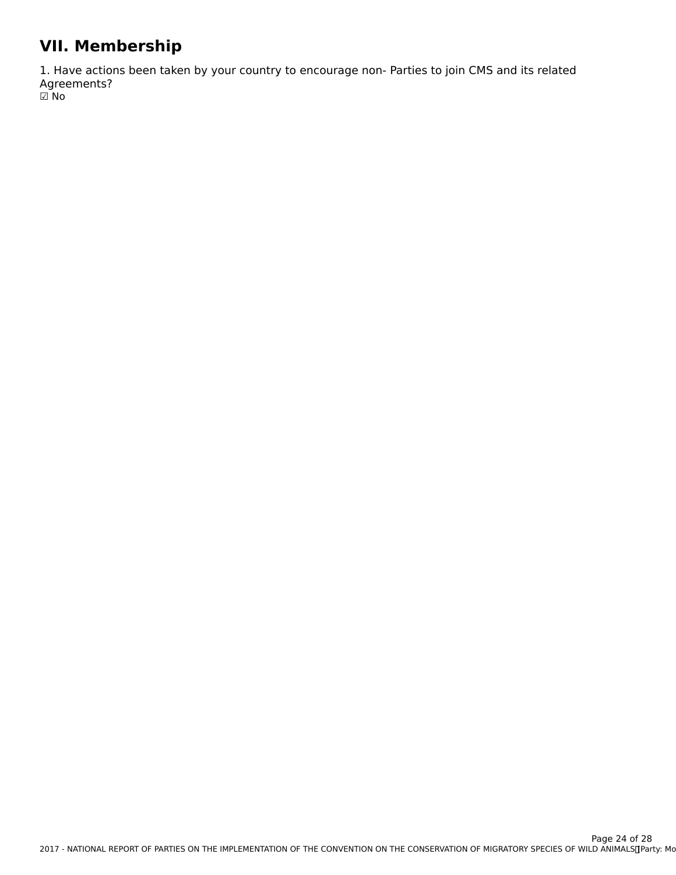# **VII. Membership**

1. Have actions been taken by your country to encourage non- Parties to join CMS and its related wernenes:<br>m  $\boxdot$  No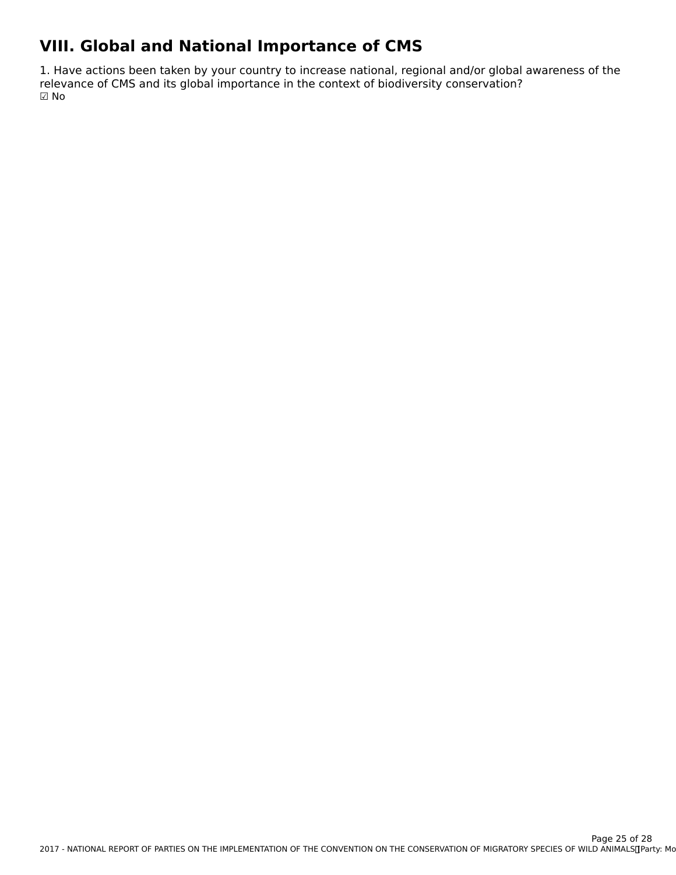# **VIII. Global and National Importance of CMS**

1. Have actions been taken by your country to increase national, regional and/or global awareness of the<br>relevance of CMS and its global importance in the context of biodiversity conservation?  $\boxdot$  No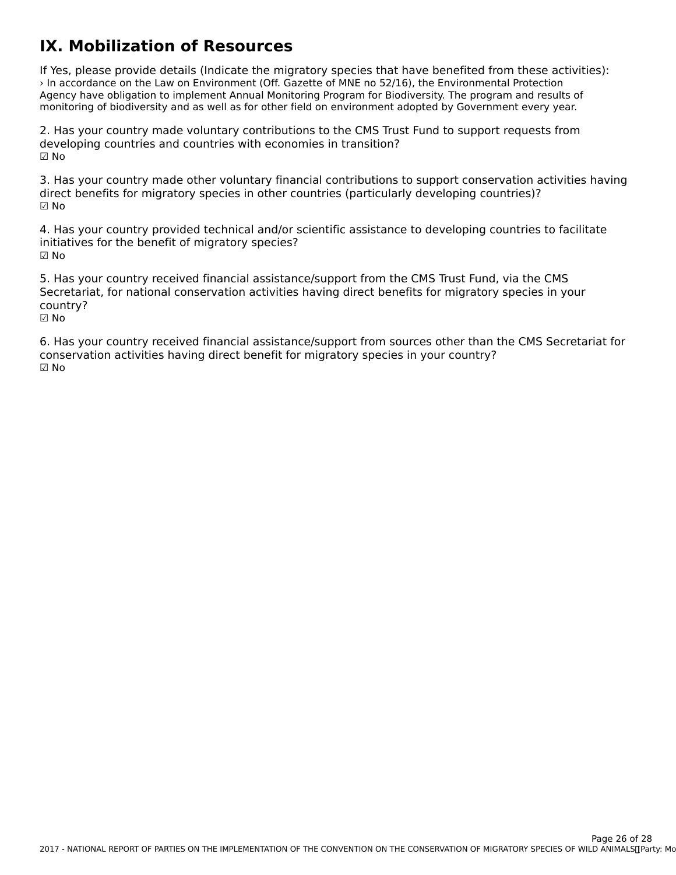#### **IX. Mobilization of Resources**

If Yes, please provide details (Indicate the migratory species that have benefited from these activities): › In accordance on the Law on Environment (Off. Gazette of MNE no 52/16), the Environmental Protection An accordance on the Law on Environment (On: Gazette of MNE ho 32/10), the Environmental Protection<br>Agency have obligation to implement Annual Monitoring Program for Biodiversity. The program and results of monitoring of biodiversity and as well as for other field on environment adopted by Government every year.

2. Has your country made voluntary contributions to the CMS Trust Fund to support requests from developing countries and countries with economies in transition?☑ No

3. Has your country made other voluntary financial contributions to support conservation activities having direct benefits for migratory species in other countries (particularly developing countries)? ☑ No

4. Has your country provided technical and/or scientific assistance to developing countries to facilitate initiatives for the benefit of migratory species? ☑ No

5. Has your country received financial assistance/support from the CMS Trust Fund, via the CMS Secretariat, for national conservation activities having direct benefits for migratory species in your secretari<br>country? ☑ No

6. Has your country received financial assistance/support from sources other than the CMS Secretariat for of rias your country received imancial assistance/support from sources other than<br>conservation activities having direct benefit for migratory species in your country? ☑ No